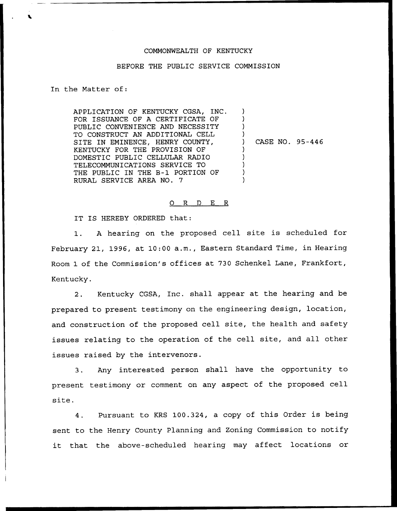## COMMONWEALTH OF KENTUCKY

## BEFORE THE PUBLIC SERVICE COMMISSION

## In the Matter of:

APPLICATION OF KENTUCKY CGSA, INC. FOR ISSUANCE OF A CERTIFICATE OF PUBLIC CONVENIENCE AND NECESSITY TO CONSTRUCT AN ADDITIONAL CELL SITE IN EMINENCE, HENRY COUNTY, KENTUCKY FOR THE PROVISION OF DOMESTIC PUBLIC CELLULAR RADIO TELECOMMUNICATIONS SERVICE TO THE PUBLIC IN THE B-l PORTION OF RURAL SERVICE AREA NO. 7 ) ) ) ) ) CASE NO. 95-446 ) ) ) ) )

## 0 R <sup>D</sup> E R

IT IS HEREBY ORDERED that:

1. <sup>A</sup> hearing on the proposed cell site is scheduled for February 21, 1996, at 10:00 a.m., Eastern Standard Time, in Hearing Room 1 of the Commission's offices at 730 Schenkel Lane, Frankfort, Kentucky.

2. Kentucky CGSA, Inc. shall appear at the hearing and be prepared to present testimony on the engineering design, location, and construction of the proposed cell site, the health and safety issues relating to the operation of the cell site, and all other issues raised by the intervenors.

3. Any interested person shall have the opportunity to present testimony or comment on any aspect of the proposed cell site.

4. Pursuant to KRS 100.324, <sup>a</sup> copy of this Order is being sent to the Henry County Planning and Zoning Commission to notify it that the above-scheduled hearing may affect locations or